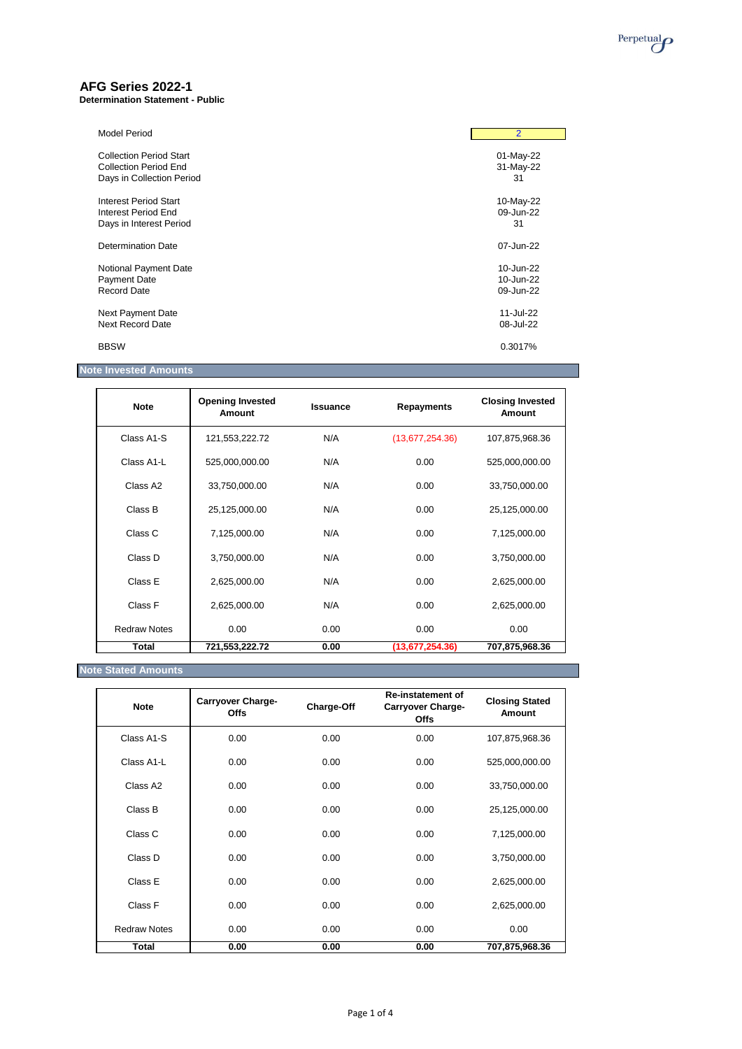

## **AFG Series 2022-1**

**Determination Statement - Public**

| <b>Model Period</b>            | $\overline{2}$ |
|--------------------------------|----------------|
| <b>Collection Period Start</b> | 01-May-22      |
| <b>Collection Period End</b>   | 31-May-22      |
| Days in Collection Period      | 31             |
| Interest Period Start          | 10-May-22      |
| <b>Interest Period End</b>     | 09-Jun-22      |
| Days in Interest Period        | 31             |
| Determination Date             | 07-Jun-22      |
| Notional Payment Date          | 10-Jun-22      |
| <b>Payment Date</b>            | 10-Jun-22      |
| <b>Record Date</b>             | 09-Jun-22      |
| Next Payment Date              | 11-Jul-22      |
| <b>Next Record Date</b>        | 08-Jul-22      |
| <b>BBSW</b>                    | 0.3017%        |

# **Note Invested Amounts**

| <b>Note</b>         | <b>Opening Invested</b><br><b>Amount</b> | <b>Issuance</b> | <b>Repayments</b> | <b>Closing Invested</b><br><b>Amount</b> |
|---------------------|------------------------------------------|-----------------|-------------------|------------------------------------------|
| Class A1-S          | 121,553,222.72                           | N/A             | (13,677,254.36)   | 107,875,968.36                           |
| Class A1-L          | 525,000,000.00                           | N/A             | 0.00              | 525,000,000.00                           |
| Class A2            | 33,750,000.00                            | N/A             | 0.00              | 33,750,000.00                            |
| Class B             | 25,125,000.00                            | N/A             | 0.00              | 25,125,000.00                            |
| Class C             | 7,125,000.00                             | N/A             | 0.00              | 7,125,000.00                             |
| Class D             | 3,750,000.00                             | N/A             | 0.00              | 3,750,000.00                             |
| Class E             | 2,625,000.00                             | N/A             | 0.00              | 2,625,000.00                             |
| Class F             | 2,625,000.00                             | N/A             | 0.00              | 2,625,000.00                             |
| <b>Redraw Notes</b> | 0.00                                     | 0.00            | 0.00              | 0.00                                     |
| <b>Total</b>        | 721,553,222.72                           | 0.00            | (13,677,254.36)   | 707,875,968.36                           |

## **Note Stated Amounts**

| <b>Note</b>             | <b>Carryover Charge-</b><br><b>Offs</b> | <b>Charge-Off</b> | <b>Re-instatement of</b><br><b>Carryover Charge-</b><br><b>Offs</b> | <b>Closing Stated</b><br>Amount |
|-------------------------|-----------------------------------------|-------------------|---------------------------------------------------------------------|---------------------------------|
| Class A1-S              | 0.00                                    | 0.00              | 0.00                                                                | 107,875,968.36                  |
| Class A <sub>1</sub> -L | 0.00                                    | 0.00              | 0.00                                                                | 525,000,000.00                  |
| Class A <sub>2</sub>    | 0.00                                    | 0.00              | 0.00                                                                | 33,750,000.00                   |
| Class B                 | 0.00                                    | 0.00              | 0.00                                                                | 25,125,000.00                   |

| Total               | 0.00 | 0.00 | 0.00 | 707,875,968.36 |
|---------------------|------|------|------|----------------|
| <b>Redraw Notes</b> | 0.00 | 0.00 | 0.00 | 0.00           |
| Class F             | 0.00 | 0.00 | 0.00 | 2,625,000.00   |
| Class E             | 0.00 | 0.00 | 0.00 | 2,625,000.00   |
| Class D             | 0.00 | 0.00 | 0.00 | 3,750,000.00   |
| Class C             | 0.00 | 0.00 | 0.00 | 7,125,000.00   |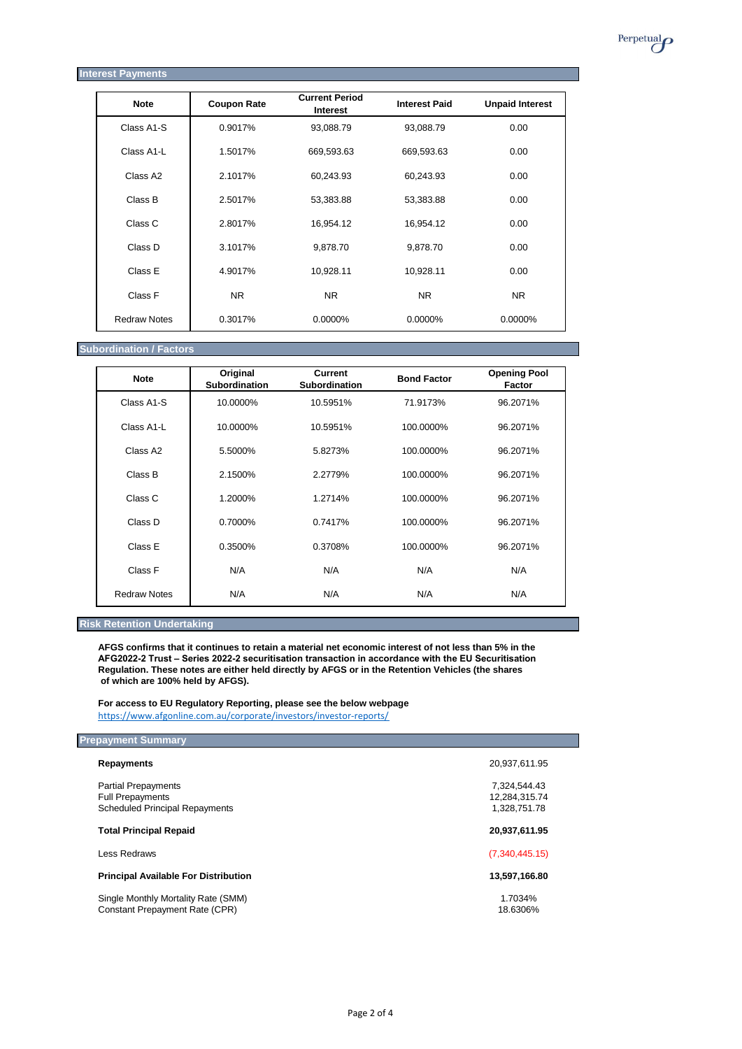| <b>Interest Payments</b> |                    |                                          |                      |                        |
|--------------------------|--------------------|------------------------------------------|----------------------|------------------------|
| <b>Note</b>              | <b>Coupon Rate</b> | <b>Current Period</b><br><b>Interest</b> | <b>Interest Paid</b> | <b>Unpaid Interest</b> |
| Class A1-S               | 0.9017%            | 93,088.79                                | 93,088.79            | 0.00                   |
| Class A1-L               | 1.5017%            | 669,593.63                               | 669,593.63           | 0.00                   |
| Class A2                 | 2.1017%            | 60,243.93                                | 60,243.93            | 0.00                   |
| Class B                  | 2.5017%            | 53,383.88                                | 53,383.88            | 0.00                   |
| Class C                  | 2.8017%            | 16,954.12                                | 16,954.12            | 0.00                   |
| Class D                  | 3.1017%            | 9,878.70                                 | 9,878.70             | 0.00                   |
| Class E                  | 4.9017%            | 10,928.11                                | 10,928.11            | 0.00                   |
| Class F                  | <b>NR</b>          | <b>NR</b>                                | <b>NR</b>            | <b>NR</b>              |
|                          |                    |                                          |                      |                        |

Redraw Notes | 0.3017% 0.0000% 0.0000% 0.0000% 0.0000%

### **Subordination / Factors**

| <b>Note</b>         | Original<br><b>Subordination</b> | <b>Current</b><br><b>Subordination</b> | <b>Bond Factor</b> | <b>Opening Pool</b><br><b>Factor</b> |
|---------------------|----------------------------------|----------------------------------------|--------------------|--------------------------------------|
| Class A1-S          | 10.0000%                         | 10.5951%                               | 71.9173%           | 96.2071%                             |
| Class A1-L          | 10.0000%                         | 10.5951%                               | 100.0000%          | 96.2071%                             |
| Class A2            | 5.5000%                          | 5.8273%                                | 100.0000%          | 96.2071%                             |
| Class B             | 2.1500%                          | 2.2779%                                | 100.0000%          | 96.2071%                             |
| Class C             | 1.2000%                          | 1.2714%                                | 100.0000%          | 96.2071%                             |
| Class D             | 0.7000%                          | 0.7417%                                | 100.0000%          | 96.2071%                             |
| Class E             | 0.3500%                          | 0.3708%                                | 100.0000%          | 96.2071%                             |
| Class F             | N/A                              | N/A                                    | N/A                | N/A                                  |
| <b>Redraw Notes</b> | N/A                              | N/A                                    | N/A                | N/A                                  |

Single Monthly Mortality Rate (SMM) 1.7034% Constant Prepayment Rate (CPR) 18.6306%

## **Risk Retention Undertaking**

**AFGS confirms that it continues to retain a material net economic interest of not less than 5% in the AFG2022-2 Trust – Series 2022-2 securitisation transaction in accordance with the EU Securitisation Regulation. These notes are either held directly by AFGS or in the Retention Vehicles (the shares of which are 100% held by AFGS).**

**For access to EU Regulatory Reporting, please see the below webpage** <https://www.afgonline.com.au/corporate/investors/investor-reports/>

| <b>Prepayment Summary</b>             |               |  |
|---------------------------------------|---------------|--|
| <b>Repayments</b>                     | 20,937,611.95 |  |
| <b>Partial Prepayments</b>            | 7,324,544.43  |  |
| <b>Full Prepayments</b>               | 12,284,315.74 |  |
| <b>Scheduled Principal Repayments</b> | 1,328,751.78  |  |

 $\sim 10$ 

Perpetual<sub>O</sub>

#### **Total Principal Repaid 20,937,611.95**

Less Redraws (7,340,445.15)

## **Principal Available For Distribution 13,597,166.80**

Page 2 of 4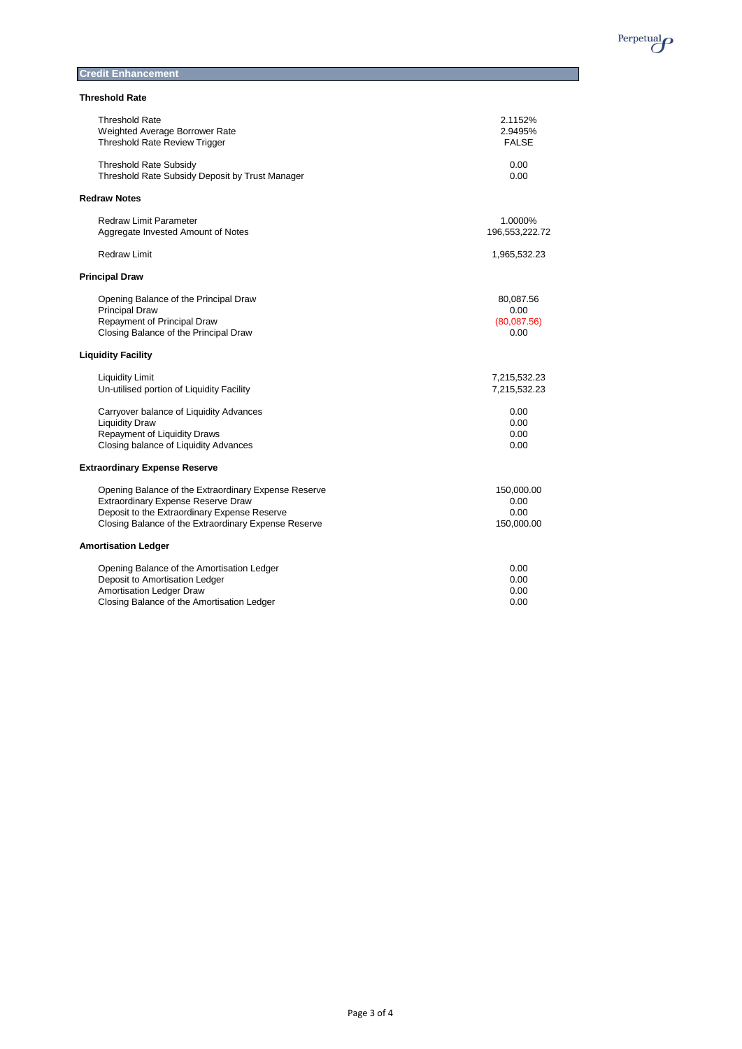

## **Credit Enhancement**

## **Threshold Rate**

| <b>Threshold Rate</b>                                | 2.1152%        |
|------------------------------------------------------|----------------|
| Weighted Average Borrower Rate                       | 2.9495%        |
| <b>Threshold Rate Review Trigger</b>                 | <b>FALSE</b>   |
| <b>Threshold Rate Subsidy</b>                        | 0.00           |
| Threshold Rate Subsidy Deposit by Trust Manager      | 0.00           |
| <b>Redraw Notes</b>                                  |                |
| <b>Redraw Limit Parameter</b>                        | 1.0000%        |
| Aggregate Invested Amount of Notes                   | 196,553,222.72 |
| <b>Redraw Limit</b>                                  | 1,965,532.23   |
| <b>Principal Draw</b>                                |                |
| Opening Balance of the Principal Draw                | 80,087.56      |
| <b>Principal Draw</b>                                | 0.00           |
| Repayment of Principal Draw                          | (80,087.56)    |
| Closing Balance of the Principal Draw                | 0.00           |
| <b>Liquidity Facility</b>                            |                |
| <b>Liquidity Limit</b>                               | 7,215,532.23   |
| Un-utilised portion of Liquidity Facility            | 7,215,532.23   |
| Carryover balance of Liquidity Advances              | 0.00           |
| <b>Liquidity Draw</b>                                | 0.00           |
| <b>Repayment of Liquidity Draws</b>                  | 0.00           |
| Closing balance of Liquidity Advances                | 0.00           |
| <b>Extraordinary Expense Reserve</b>                 |                |
| Opening Balance of the Extraordinary Expense Reserve | 150,000.00     |
| Extraordinary Expense Reserve Draw                   | 0.00           |
| Deposit to the Extraordinary Expense Reserve         | 0.00           |
| Closing Balance of the Extraordinary Expense Reserve | 150,000.00     |
| <b>Amortisation Ledger</b>                           |                |
| Opening Balance of the Amortisation Ledger           | 0.00           |
| Deposit to Amortisation Ledger                       | 0.00           |
| Amortisation Ledger Draw                             | 0.00           |
| Closing Balance of the Amortisation Ledger           | 0.00           |

Page 3 of 4